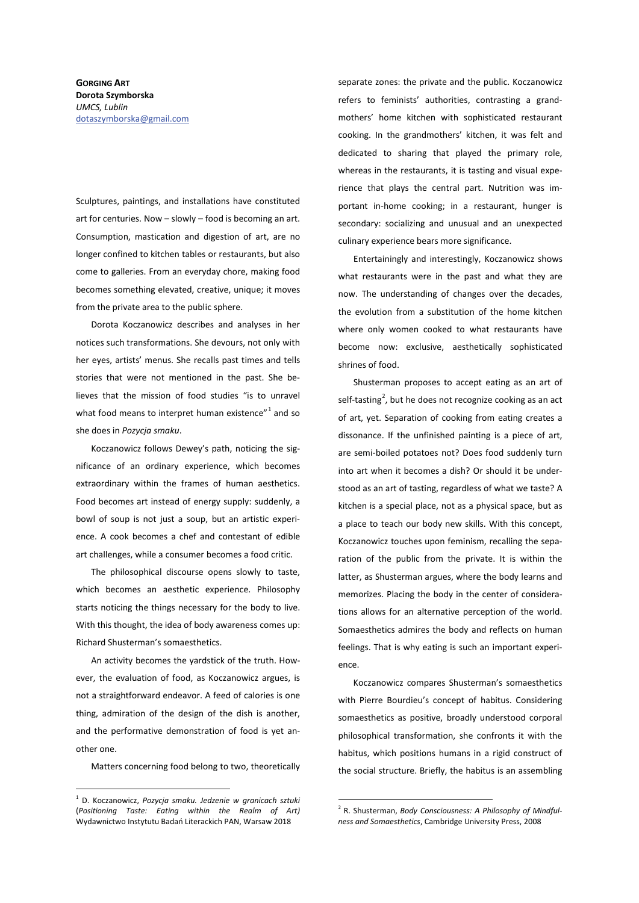## **GORGING ART** Dorota Szymborska *UMCS, Lublin*  dotaszymborska@gmail.com

Sculptures, paintings, and installations have constituted art for centuries. Now – slowly – food is becoming an art. Consumption, mastication and digestion of art, are no longer confined to kitchen tables or restaurants, but also come to galleries. From an everyday chore, making food becomes something elevated, creative, unique; it moves from the private area to the public sphere.

Dorota Koczanowicz describes and analyses in her notices such transformations. She devours, not only with her eyes, artists' menus. She recalls past times and tells stories that were not mentioned in the past. She believes that the mission of food studies "is to unravel what food means to interpret human existence" $1$  and so she does in *Pozycja smaku*.

Koczanowicz follows Dewey's path, noticing the significance of an ordinary experience, which becomes extraordinary within the frames of human aesthetics. Food becomes art instead of energy supply: suddenly, a bowl of soup is not just a soup, but an artistic experience. A cook becomes a chef and contestant of edible art challenges, while a consumer becomes a food critic.

The philosophical discourse opens slowly to taste, which becomes an aesthetic experience. Philosophy starts noticing the things necessary for the body to live. With this thought, the idea of body awareness comes up: Richard Shusterman's somaesthetics.

An activity becomes the yardstick of the truth. However, the evaluation of food, as Koczanowicz argues, is not a straightforward endeavor. A feed of calories is one thing, admiration of the design of the dish is another, and the performative demonstration of food is yet another one.

Matters concerning food belong to two, theoretically

separate zones: the private and the public. Koczanowicz refers to feminists' authorities, contrasting a grandmothers' home kitchen with sophisticated restaurant cooking. In the grandmothers' kitchen, it was felt and dedicated to sharing that played the primary role, whereas in the restaurants, it is tasting and visual experience that plays the central part. Nutrition was important in-home cooking; in a restaurant, hunger is secondary: socializing and unusual and an unexpected culinary experience bears more significance.

Entertainingly and interestingly, Koczanowicz shows what restaurants were in the past and what they are now. The understanding of changes over the decades, the evolution from a substitution of the home kitchen where only women cooked to what restaurants have become now: exclusive, aesthetically sophisticated shrines of food.

Shusterman proposes to accept eating as an art of self-tasting<sup>2</sup>, but he does not recognize cooking as an act of art, yet. Separation of cooking from eating creates a dissonance. If the unfinished painting is a piece of art, are semi-boiled potatoes not? Does food suddenly turn into art when it becomes a dish? Or should it be understood as an art of tasting, regardless of what we taste? A kitchen is a special place, not as a physical space, but as a place to teach our body new skills. With this concept, Koczanowicz touches upon feminism, recalling the separation of the public from the private. It is within the latter, as Shusterman argues, where the body learns and memorizes. Placing the body in the center of considerations allows for an alternative perception of the world. Somaesthetics admires the body and reflects on human feelings. That is why eating is such an important experience.

Koczanowicz compares Shusterman's somaesthetics with Pierre Bourdieu's concept of habitus. Considering somaesthetics as positive, broadly understood corporal philosophical transformation, she confronts it with the habitus, which positions humans in a rigid construct of the social structure. Briefly, the habitus is an assembling

<sup>1</sup> D. Koczanowicz, *Pozycja smaku. Jedzenie w granicach sztuki* (*Positioning Taste: Eating within the Realm of Art)* Wydawnictwo Instytutu Badań Literackich PAN, Warsaw 2018

<sup>2</sup> R. Shusterman, *Body Consciousness: A Philosophy of Mindfulness and Somaesthetics*, Cambridge University Press, 2008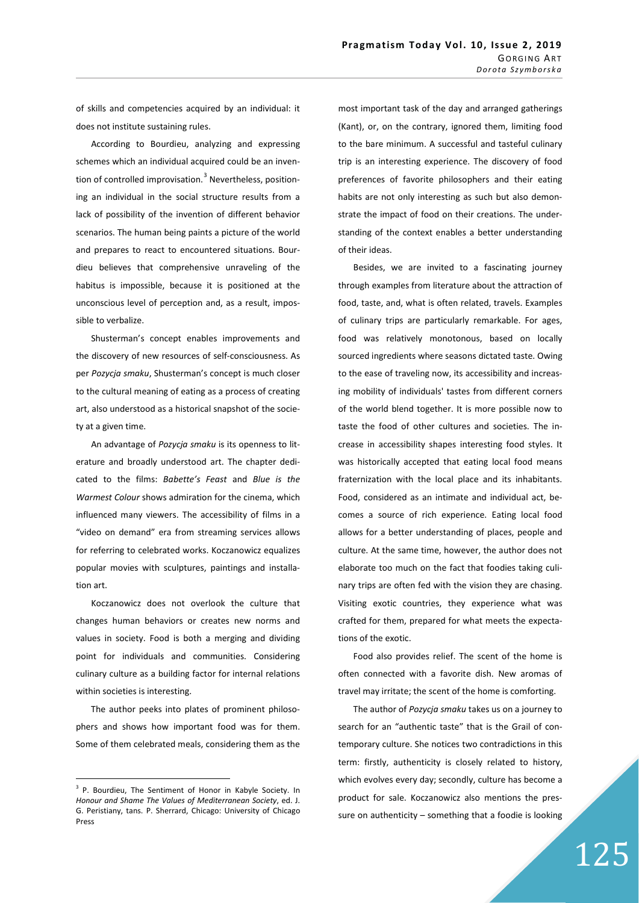of skills and competencies acquired by an individual: it does not institute sustaining rules.

According to Bourdieu, analyzing and expressing schemes which an individual acquired could be an invention of controlled improvisation.<sup>3</sup> Nevertheless, positioning an individual in the social structure results from a lack of possibility of the invention of different behavior scenarios. The human being paints a picture of the world and prepares to react to encountered situations. Bourdieu believes that comprehensive unraveling of the habitus is impossible, because it is positioned at the unconscious level of perception and, as a result, impossible to verbalize.

Shusterman's concept enables improvements and the discovery of new resources of self-consciousness. As per *Pozycja smaku*, Shusterman's concept is much closer to the cultural meaning of eating as a process of creating art, also understood as a historical snapshot of the society at a given time.

An advantage of *Pozycja smaku* is its openness to literature and broadly understood art. The chapter dedicated to the films: *Babette's Feast* and *Blue is the Warmest Colour* shows admiration for the cinema, which influenced many viewers. The accessibility of films in a "video on demand" era from streaming services allows for referring to celebrated works. Koczanowicz equalizes popular movies with sculptures, paintings and installation art.

Koczanowicz does not overlook the culture that changes human behaviors or creates new norms and values in society. Food is both a merging and dividing point for individuals and communities. Considering culinary culture as a building factor for internal relations within societies is interesting.

The author peeks into plates of prominent philosophers and shows how important food was for them. Some of them celebrated meals, considering them as the

most important task of the day and arranged gatherings (Kant), or, on the contrary, ignored them, limiting food to the bare minimum. A successful and tasteful culinary trip is an interesting experience. The discovery of food preferences of favorite philosophers and their eating habits are not only interesting as such but also demonstrate the impact of food on their creations. The understanding of the context enables a better understanding of their ideas.

Besides, we are invited to a fascinating journey through examples from literature about the attraction of food, taste, and, what is often related, travels. Examples of culinary trips are particularly remarkable. For ages, food was relatively monotonous, based on locally sourced ingredients where seasons dictated taste. Owing to the ease of traveling now, its accessibility and increasing mobility of individuals' tastes from different corners of the world blend together. It is more possible now to taste the food of other cultures and societies. The increase in accessibility shapes interesting food styles. It was historically accepted that eating local food means fraternization with the local place and its inhabitants. Food, considered as an intimate and individual act, becomes a source of rich experience. Eating local food allows for a better understanding of places, people and culture. At the same time, however, the author does not elaborate too much on the fact that foodies taking culinary trips are often fed with the vision they are chasing. Visiting exotic countries, they experience what was crafted for them, prepared for what meets the expectations of the exotic.

Food also provides relief. The scent of the home is often connected with a favorite dish. New aromas of travel may irritate; the scent of the home is comforting.

The author of *Pozycja smaku* takes us on a journey to search for an "authentic taste" that is the Grail of contemporary culture. She notices two contradictions in this term: firstly, authenticity is closely related to history, which evolves every day; secondly, culture has become a product for sale. Koczanowicz also mentions the pressure on authenticity – something that a foodie is looking

<sup>&</sup>lt;sup>3</sup> P. Bourdieu, The Sentiment of Honor in Kabyle Society. In *Honour and Shame The Values of Mediterranean Society*, ed. J. G. Peristiany, tans. P. Sherrard, Chicago: University of Chicago Press